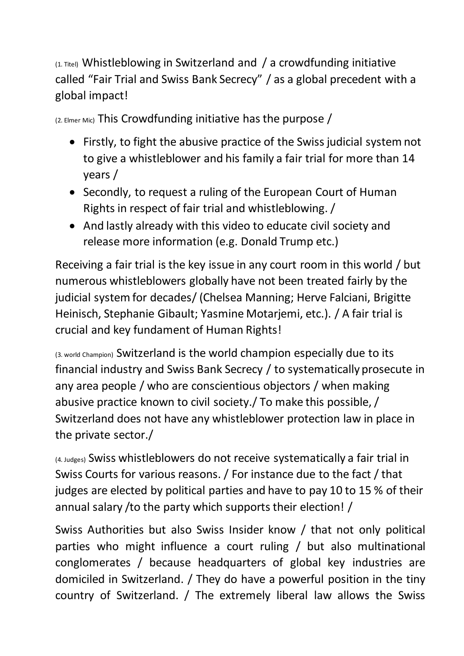(1. Titel) Whistleblowing in Switzerland and / a crowdfunding initiative called "Fair Trial and Swiss Bank Secrecy" / as a global precedent with a global impact!

(2. Elmer Mic) This Crowdfunding initiative has the purpose /

- Firstly, to fight the abusive practice of the Swiss judicial system not to give a whistleblower and his family a fair trial for more than 14 years /
- Secondly, to request a ruling of the European Court of Human Rights in respect of fair trial and whistleblowing. /
- And lastly already with this video to educate civil society and release more information (e.g. Donald Trump etc.)

Receiving a fair trial is the key issue in any court room in this world / but numerous whistleblowers globally have not been treated fairly by the judicial system for decades/ (Chelsea Manning; Herve Falciani, Brigitte Heinisch, Stephanie Gibault; Yasmine Motarjemi, etc.). / A fair trial is crucial and key fundament of Human Rights!

(3. world Champion) Switzerland is the world champion especially due to its financial industry and Swiss Bank Secrecy / to systematically prosecute in any area people / who are conscientious objectors / when making abusive practice known to civil society./ To make this possible, / Switzerland does not have any whistleblower protection law in place in the private sector./

(4. Judges) Swiss whistleblowers do not receive systematically a fair trial in Swiss Courts for various reasons. / For instance due to the fact / that judges are elected by political parties and have to pay 10 to 15 % of their annual salary /to the party which supports their election! /

Swiss Authorities but also Swiss Insider know / that not only political parties who might influence a court ruling / but also multinational conglomerates / because headquarters of global key industries are domiciled in Switzerland. / They do have a powerful position in the tiny country of Switzerland. / The extremely liberal law allows the Swiss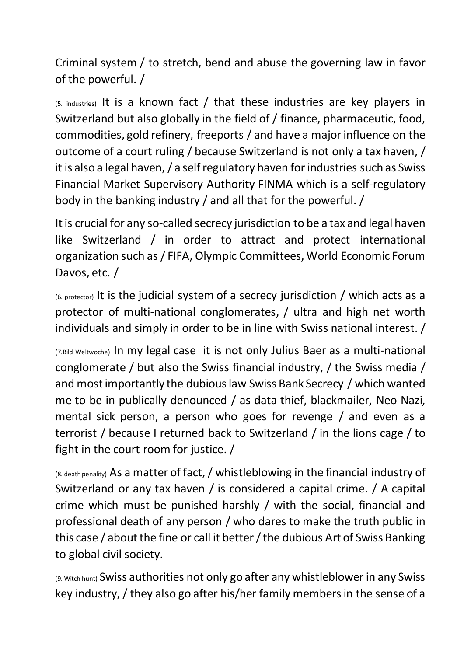Criminal system / to stretch, bend and abuse the governing law in favor of the powerful. /

(5. industries) It is a known fact / that these industries are key players in Switzerland but also globally in the field of / finance, pharmaceutic, food, commodities, gold refinery, freeports / and have a major influence on the outcome of a court ruling / because Switzerland is not only a tax haven, / it is also a legal haven, / a self regulatory haven for industries such as Swiss Financial Market Supervisory Authority FINMA which is a self-regulatory body in the banking industry / and all that for the powerful. /

It is crucial for any so-called secrecy jurisdiction to be a tax and legal haven like Switzerland / in order to attract and protect international organization such as / FIFA, Olympic Committees, World Economic Forum Davos, etc. /

(6. protector) It is the judicial system of a secrecy jurisdiction / which acts as a protector of multi-national conglomerates, / ultra and high net worth individuals and simply in order to be in line with Swiss national interest. /

(7.Bild Weltwoche) In my legal case it is not only Julius Baer as a multi-national conglomerate / but also the Swiss financial industry, / the Swiss media / and most importantly the dubious law Swiss Bank Secrecy / which wanted me to be in publically denounced / as data thief, blackmailer, Neo Nazi, mental sick person, a person who goes for revenge / and even as a terrorist / because I returned back to Switzerland / in the lions cage / to fight in the court room for justice. /

(8. death penality) As a matter of fact, / whistleblowing in the financial industry of Switzerland or any tax haven / is considered a capital crime. / A capital crime which must be punished harshly / with the social, financial and professional death of any person / who dares to make the truth public in this case / about the fine or call it better/the dubious Art of Swiss Banking to global civil society.

(9. Witch hunt) Swiss authorities not only go after any whistleblower in any Swiss key industry, / they also go after his/her family membersin the sense of a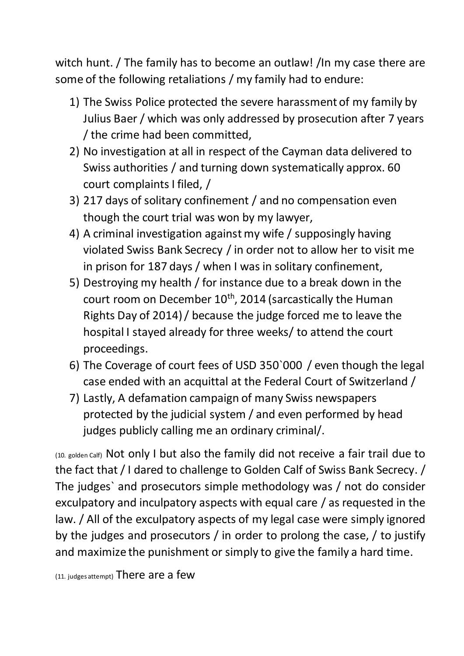witch hunt. / The family has to become an outlaw! /In my case there are some of the following retaliations / my family had to endure:

- 1) The Swiss Police protected the severe harassment of my family by Julius Baer / which was only addressed by prosecution after 7 years / the crime had been committed,
- 2) No investigation at all in respect of the Cayman data delivered to Swiss authorities / and turning down systematically approx. 60 court complaints I filed, /
- 3) 217 days of solitary confinement / and no compensation even though the court trial was won by my lawyer,
- 4) A criminal investigation against my wife / supposingly having violated Swiss Bank Secrecy / in order not to allow her to visit me in prison for 187 days / when I was in solitary confinement,
- 5) Destroying my health / for instance due to a break down in the court room on December  $10^{th}$ , 2014 (sarcastically the Human Rights Day of 2014) / because the judge forced me to leave the hospital I stayed already for three weeks/ to attend the court proceedings.
- 6) The Coverage of court fees of USD 350`000 / even though the legal case ended with an acquittal at the Federal Court of Switzerland /
- 7) Lastly, A defamation campaign of many Swiss newspapers protected by the judicial system / and even performed by head judges publicly calling me an ordinary criminal/.

(10. golden Calf) Not only I but also the family did not receive a fair trail due to the fact that/ I dared to challenge to Golden Calf of Swiss Bank Secrecy. / The judges` and prosecutors simple methodology was / not do consider exculpatory and inculpatory aspects with equal care / as requested in the law. / All of the exculpatory aspects of my legal case were simply ignored by the judges and prosecutors / in order to prolong the case, / to justify and maximize the punishment or simply to give the family a hard time.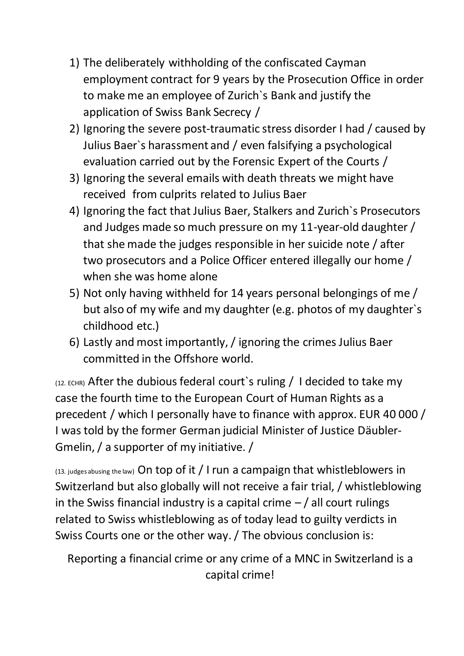- 1) The deliberately withholding of the confiscated Cayman employment contract for 9 years by the Prosecution Office in order to make me an employee of Zurich`s Bank and justify the application of Swiss Bank Secrecy /
- 2) Ignoring the severe post-traumatic stress disorder I had / caused by Julius Baer`s harassment and / even falsifying a psychological evaluation carried out by the Forensic Expert of the Courts /
- 3) Ignoring the several emails with death threats we might have received from culprits related to Julius Baer
- 4) Ignoring the fact that Julius Baer, Stalkers and Zurich`s Prosecutors and Judges made so much pressure on my 11-year-old daughter / that she made the judges responsible in her suicide note / after two prosecutors and a Police Officer entered illegally our home / when she was home alone
- 5) Not only having withheld for 14 years personal belongings of me / but also of my wife and my daughter (e.g. photos of my daughter`s childhood etc.)
- 6) Lastly and most importantly, / ignoring the crimes Julius Baer committed in the Offshore world.

 $(12.$  ECHR) After the dubious federal court's ruling / I decided to take my case the fourth time to the European Court of Human Rights as a precedent / which I personally have to finance with approx. EUR 40 000 / I was told by the former German judicial Minister of Justice Däubler-Gmelin, / a supporter of my initiative. /

(13. judges abusing the law) On top of it / I run a campaign that whistleblowers in Switzerland but also globally will not receive a fair trial, / whistleblowing in the Swiss financial industry is a capital crime  $-$  / all court rulings related to Swiss whistleblowing as of today lead to guilty verdicts in Swiss Courts one or the other way./ The obvious conclusion is:

Reporting a financial crime or any crime of a MNC in Switzerland is a capital crime!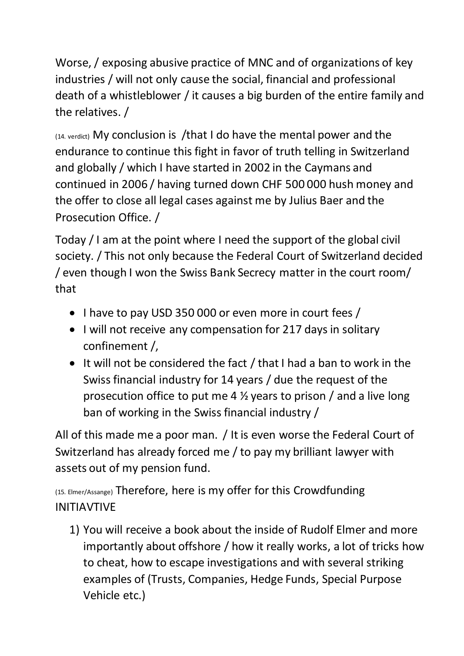Worse, / exposing abusive practice of MNC and of organizations of key industries / will not only cause the social, financial and professional death of a whistleblower / it causes a big burden of the entire family and the relatives. /

(14. verdict) My conclusion is /that I do have the mental power and the endurance to continue this fight in favor of truth telling in Switzerland and globally / which I have started in 2002 in the Caymans and continued in 2006 / having turned down CHF 500 000 hush money and the offer to close all legal cases against me by Julius Baer and the Prosecution Office. /

Today / I am at the point where I need the support of the global civil society. / This not only because the Federal Court of Switzerland decided / even though I won the Swiss Bank Secrecy matter in the court room/ that

- I have to pay USD 350 000 or even more in court fees /
- I will not receive any compensation for 217 days in solitary confinement /,
- It will not be considered the fact / that I had a ban to work in the Swiss financial industry for 14 years / due the request of the prosecution office to put me 4 ½ years to prison / and a live long ban of working in the Swiss financial industry /

All of this made me a poor man. / It is even worse the Federal Court of Switzerland has already forced me / to pay my brilliant lawyer with assets out of my pension fund.

(15. Elmer/Assange) Therefore, here is my offer for this Crowdfunding INITIAVTIVE

1) You will receive a book about the inside of Rudolf Elmer and more importantly about offshore / how it really works, a lot of tricks how to cheat, how to escape investigations and with several striking examples of (Trusts, Companies, Hedge Funds, Special Purpose Vehicle etc.)